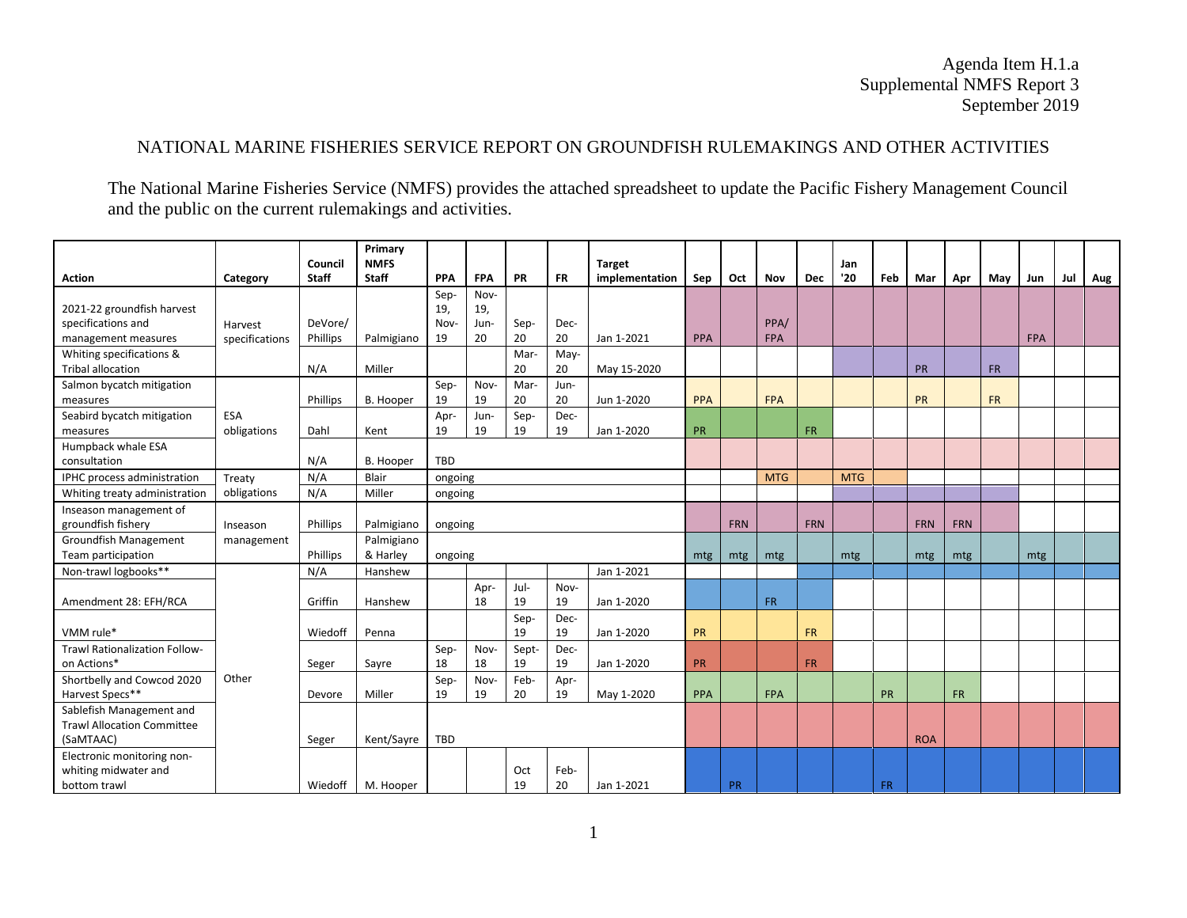## NATIONAL MARINE FISHERIES SERVICE REPORT ON GROUNDFISH RULEMAKINGS AND OTHER ACTIVITIES

The National Marine Fisheries Service (NMFS) provides the attached spreadsheet to update the Pacific Fishery Management Council and the public on the current rulemakings and activities.

|                                                                            |                           | Council                    | Primary<br><b>NMFS</b> |                           |                           |             |            | <b>Target</b>  |           |           |                    |            | Jan        |           |            |            |           |            |     |     |
|----------------------------------------------------------------------------|---------------------------|----------------------------|------------------------|---------------------------|---------------------------|-------------|------------|----------------|-----------|-----------|--------------------|------------|------------|-----------|------------|------------|-----------|------------|-----|-----|
| <b>Action</b>                                                              | Category                  | <b>Staff</b>               | <b>Staff</b>           | <b>PPA</b>                | <b>FPA</b>                | <b>PR</b>   | <b>FR</b>  | implementation | Sep       | Oct       | <b>Nov</b>         | <b>Dec</b> | '20        | Feb       | Mar        | Apr        | May       | Jun        | Jul | Aug |
| 2021-22 groundfish harvest<br>specifications and<br>management measures    | Harvest<br>specifications | DeVore/<br><b>Phillips</b> | Palmigiano             | Sep-<br>19,<br>Nov-<br>19 | Nov-<br>19,<br>Jun-<br>20 | Sep-<br>20  | Dec-<br>20 | Jan 1-2021     | PPA       |           | PPA/<br><b>FPA</b> |            |            |           |            |            |           | <b>FPA</b> |     |     |
| Whiting specifications &<br><b>Tribal allocation</b>                       |                           | N/A                        | Miller                 |                           |                           | Mar-<br>20  | May-<br>20 | May 15-2020    |           |           |                    |            |            |           | PR         |            | <b>FR</b> |            |     |     |
| Salmon bycatch mitigation<br>measures                                      |                           | Phillips                   | B. Hooper              | Sep-<br>19                | Nov-<br>19                | Mar-<br>20  | Jun-<br>20 | Jun 1-2020     | PPA       |           | <b>FPA</b>         |            |            |           | <b>PR</b>  |            | <b>FR</b> |            |     |     |
| Seabird bycatch mitigation<br>measures                                     | ESA<br>obligations        | Dahl                       | Kent                   | Apr-<br>19                | Jun-<br>19                | Sep-<br>19  | Dec-<br>19 | Jan 1-2020     | PR        |           |                    | <b>FR</b>  |            |           |            |            |           |            |     |     |
| Humpback whale ESA<br>consultation                                         |                           | N/A                        | B. Hooper              | <b>TBD</b>                |                           |             |            |                |           |           |                    |            |            |           |            |            |           |            |     |     |
| IPHC process administration                                                | Treaty                    | N/A                        | Blair                  | ongoing                   |                           |             |            |                |           |           | <b>MTG</b>         |            | <b>MTG</b> |           |            |            |           |            |     |     |
| Whiting treaty administration                                              | obligations               | N/A                        | Miller                 | ongoing                   |                           |             |            |                |           |           |                    |            |            |           |            |            |           |            |     |     |
| Inseason management of<br>groundfish fishery                               | Inseason                  | <b>Phillips</b>            | Palmigiano             | ongoing                   |                           |             |            |                |           |           |                    | <b>FRN</b> |            |           | <b>FRN</b> | <b>FRN</b> |           |            |     |     |
| <b>Groundfish Management</b><br>Team participation                         | management                | Phillips                   | Palmigiano<br>& Harley | ongoing                   |                           |             |            |                | mtg       | mtg       | mtg                |            | mtg        |           | mtg        | mtg        |           | mtg        |     |     |
| Non-trawl logbooks**                                                       |                           | N/A                        | Hanshew                | Jan 1-2021                |                           |             |            |                |           |           |                    |            |            |           |            |            |           |            |     |     |
| Amendment 28: EFH/RCA                                                      | Other                     | Griffin                    | Hanshew                |                           | Apr-<br>18                | Jul-<br>19  | Nov-<br>19 | Jan 1-2020     |           |           | <b>FR</b>          |            |            |           |            |            |           |            |     |     |
| VMM rule*                                                                  |                           | Wiedoff                    | Penna                  |                           |                           | Sep-<br>19  | Dec-<br>19 | Jan 1-2020     | <b>PR</b> |           |                    | <b>FR</b>  |            |           |            |            |           |            |     |     |
| Trawl Rationalization Follow-<br>on Actions*                               |                           | Seger                      | Sayre                  | Sep-<br>18                | Nov-<br>18                | Sept-<br>19 | Dec-<br>19 | Jan 1-2020     | PR        |           |                    | <b>FR</b>  |            |           |            |            |           |            |     |     |
| Shortbelly and Cowcod 2020<br>Harvest Specs**                              |                           | Devore                     | Miller                 | Sep-<br>19                | Nov-<br>19                | Feb-<br>20  | Apr-<br>19 | May 1-2020     | PPA       |           | <b>FPA</b>         |            |            | <b>PR</b> |            | <b>FR</b>  |           |            |     |     |
| Sablefish Management and<br><b>Trawl Allocation Committee</b><br>(SaMTAAC) |                           | Seger                      | Kent/Sayre             | <b>TBD</b>                |                           |             |            |                |           |           |                    |            |            |           | <b>ROA</b> |            |           |            |     |     |
| Electronic monitoring non-<br>whiting midwater and<br>bottom trawl         |                           | Wiedoff                    | M. Hooper              |                           |                           | Oct<br>19   | Feb-<br>20 | Jan 1-2021     |           | <b>PR</b> |                    |            |            | FR.       |            |            |           |            |     |     |